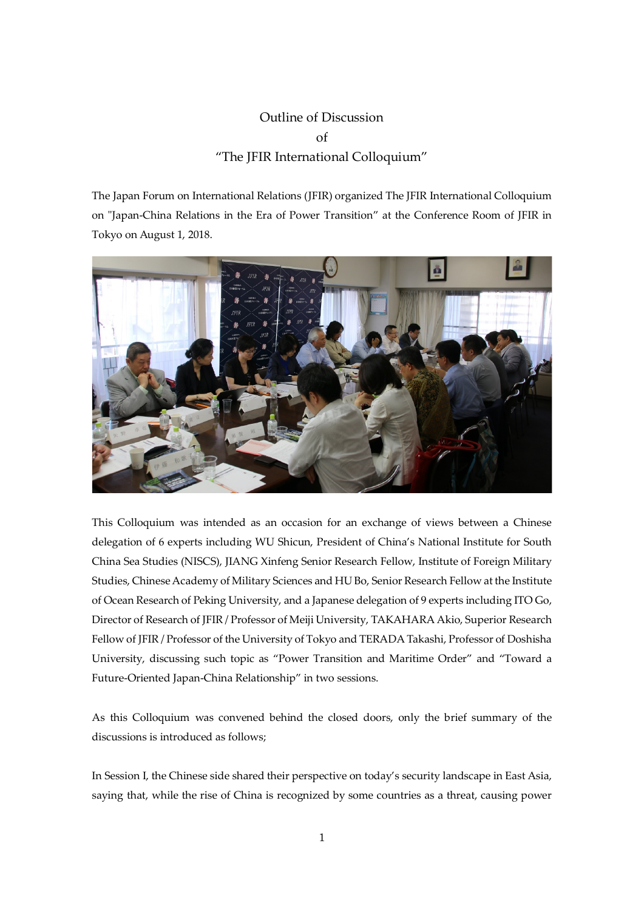## Outline of Discussion of "The JFIR International Colloquium"

The Japan Forum on International Relations (JFIR) organized The JFIR International Colloquium on "Japan-China Relations in the Era of Power Transition" at the Conference Room of JFIR in Tokyo on August 1, 2018.



This Colloquium was intended as an occasion for an exchange of views between a Chinese delegation of 6 experts including WU Shicun, President of China's National Institute for South China Sea Studies (NISCS), JIANG Xinfeng Senior Research Fellow, Institute of Foreign Military Studies, Chinese Academy of Military Sciences and HU Bo, Senior Research Fellow at the Institute of Ocean Research of Peking University, and a Japanese delegation of 9 experts including ITO Go, Director of Research of JFIR / Professor of Meiji University, TAKAHARA Akio, Superior Research Fellow of JFIR / Professor of the University of Tokyo and TERADA Takashi, Professor of Doshisha University, discussing such topic as "Power Transition and Maritime Order" and "Toward a Future-Oriented Japan-China Relationship" in two sessions.

As this Colloquium was convened behind the closed doors, only the brief summary of the discussions is introduced as follows;

In Session I, the Chinese side shared their perspective on today's security landscape in East Asia, saying that, while the rise of China is recognized by some countries as a threat, causing power